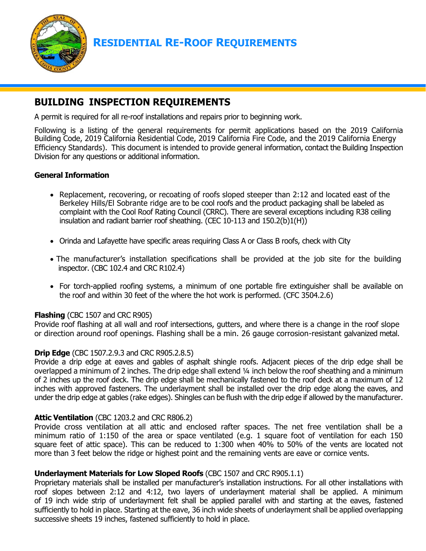

# **RESIDENTIAL RE-ROOF REQUIREMENTS**

## **BUILDING INSPECTION REQUIREMENTS**

A permit is required for all re-roof installations and repairs prior to beginning work.

Following is a listing of the general requirements for permit applications based on the 2019 California Building Code, 2019 California Residential Code, 2019 California Fire Code, and the 2019 California Energy Efficiency Standards). This document is intended to provide general information, contact the Building Inspection Division for any questions or additional information.

#### **General Information**

- Replacement, recovering, or recoating of roofs sloped steeper than 2:12 and located east of the Berkeley Hills/El Sobrante ridge are to be cool roofs and the product packaging shall be labeled as complaint with the Cool Roof Rating Council (CRRC). There are several exceptions including R38 ceiling insulation and radiant barrier roof sheathing. (CEC 10-113 and 150.2(b)1(H))
- Orinda and Lafayette have specific areas requiring Class A or Class B roofs, check with City
- The manufacturer's installation specifications shall be provided at the job site for the building inspector. (CBC 102.4 and CRC R102.4)
- For torch-applied roofing systems, a minimum of one portable fire extinguisher shall be available on the roof and within 30 feet of the where the hot work is performed. (CFC 3504.2.6)

#### **Flashing** (CBC 1507 and CRC R905)

Provide roof flashing at all wall and roof intersections, gutters, and where there is a change in the roof slope or direction around roof openings. Flashing shall be a min. 26 gauge corrosion-resistant galvanized metal.

#### **Drip Edge** (CBC 1507.2.9.3 and CRC R905.2.8.5)

Provide a drip edge at eaves and gables of asphalt shingle roofs. Adjacent pieces of the drip edge shall be overlapped a minimum of 2 inches. The drip edge shall extend ¼ inch below the roof sheathing and a minimum of 2 inches up the roof deck. The drip edge shall be mechanically fastened to the roof deck at a maximum of 12 inches with approved fasteners. The underlayment shall be installed over the drip edge along the eaves, and under the drip edge at gables (rake edges). Shingles can be flush with the drip edge if allowed by the manufacturer.

#### **Attic Ventilation** (CBC 1203.2 and CRC R806.2)

Provide cross ventilation at all attic and enclosed rafter spaces. The net free ventilation shall be a minimum ratio of 1:150 of the area or space ventilated (e.g. 1 square foot of ventilation for each 150 square feet of attic space). This can be reduced to 1:300 when 40% to 50% of the vents are located not more than 3 feet below the ridge or highest point and the remaining vents are eave or cornice vents.

#### **Underlayment Materials for Low Sloped Roofs** (CBC 1507 and CRC R905.1.1)

Proprietary materials shall be installed per manufacturer's installation instructions. For all other installations with roof slopes between 2:12 and 4:12, two layers of underlayment material shall be applied. A minimum of 19 inch wide strip of underlayment felt shall be applied parallel with and starting at the eaves, fastened sufficiently to hold in place. Starting at the eave, 36 inch wide sheets of underlayment shall be applied overlapping successive sheets 19 inches, fastened sufficiently to hold in place.